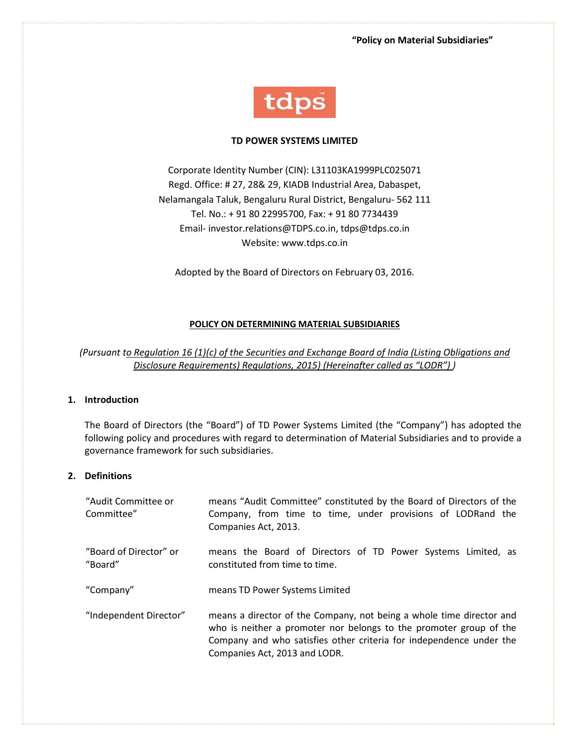**"Policy on Material Subsidiaries"**



#### **TD POWER SYSTEMS LIMITED**

Corporate Identity Number (CIN): L31103KA1999PLC025071 Regd. Office: # 27, 28& 29, KIADB Industrial Area, Dabaspet, Nelamangala Taluk, Bengaluru Rural District, Bengaluru- 562 111 Tel. No.: + 91 80 22995700, Fax: + 91 80 7734439 Email- investor.relations@TDPS.co.in, tdps@tdps.co.in Website: www.tdps.co.in

Adopted by the Board of Directors on February 03, 2016.

### **POLICY ON DETERMINING MATERIAL SUBSIDIARIES**

*(Pursuant to Regulation 16 (1)(c) of the Securities and Exchange Board of India (Listing Obligations and Disclosure Requirements) Regulations, 2015) (Hereinafter called as "LODR") )* 

# **1. Introduction**

The Board of Directors (the "Board") of TD Power Systems Limited (the "Company") has adopted the following policy and procedures with regard to determination of Material Subsidiaries and to provide a governance framework for such subsidiaries.

#### **2. Definitions**

| "Audit Committee or<br>Committee" | means "Audit Committee" constituted by the Board of Directors of the<br>Company, from time to time, under provisions of LODRand the<br>Companies Act, 2013.                                                                                        |
|-----------------------------------|----------------------------------------------------------------------------------------------------------------------------------------------------------------------------------------------------------------------------------------------------|
| "Board of Director" or<br>"Board" | means the Board of Directors of TD Power Systems Limited, as<br>constituted from time to time.                                                                                                                                                     |
| "Company"                         | means TD Power Systems Limited                                                                                                                                                                                                                     |
| "Independent Director"            | means a director of the Company, not being a whole time director and<br>who is neither a promoter nor belongs to the promoter group of the<br>Company and who satisfies other criteria for independence under the<br>Companies Act, 2013 and LODR. |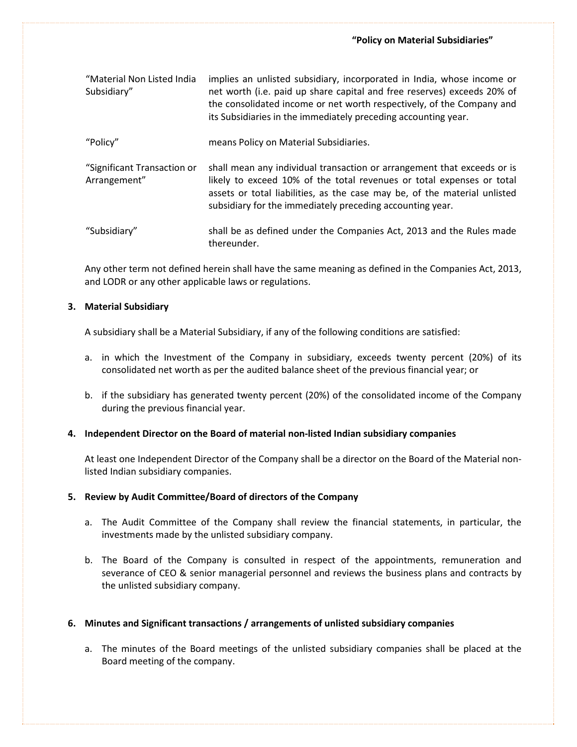| "Material Non Listed India<br>Subsidiary"   | implies an unlisted subsidiary, incorporated in India, whose income or<br>net worth (i.e. paid up share capital and free reserves) exceeds 20% of<br>the consolidated income or net worth respectively, of the Company and<br>its Subsidiaries in the immediately preceding accounting year. |
|---------------------------------------------|----------------------------------------------------------------------------------------------------------------------------------------------------------------------------------------------------------------------------------------------------------------------------------------------|
| "Policy"                                    | means Policy on Material Subsidiaries.                                                                                                                                                                                                                                                       |
| "Significant Transaction or<br>Arrangement" | shall mean any individual transaction or arrangement that exceeds or is<br>likely to exceed 10% of the total revenues or total expenses or total<br>assets or total liabilities, as the case may be, of the material unlisted<br>subsidiary for the immediately preceding accounting year.   |
| "Subsidiary"                                | shall be as defined under the Companies Act, 2013 and the Rules made                                                                                                                                                                                                                         |

Any other term not defined herein shall have the same meaning as defined in the Companies Act, 2013, and LODR or any other applicable laws or regulations.

#### **3. Material Subsidiary**

A subsidiary shall be a Material Subsidiary, if any of the following conditions are satisfied:

thereunder.

- a. in which the Investment of the Company in subsidiary, exceeds twenty percent (20%) of its consolidated net worth as per the audited balance sheet of the previous financial year; or
- b. if the subsidiary has generated twenty percent (20%) of the consolidated income of the Company during the previous financial year.

#### **4. Independent Director on the Board of material non-listed Indian subsidiary companies**

At least one Independent Director of the Company shall be a director on the Board of the Material nonlisted Indian subsidiary companies.

#### **5. Review by Audit Committee/Board of directors of the Company**

- a. The Audit Committee of the Company shall review the financial statements, in particular, the investments made by the unlisted subsidiary company.
- b. The Board of the Company is consulted in respect of the appointments, remuneration and severance of CEO & senior managerial personnel and reviews the business plans and contracts by the unlisted subsidiary company.

## **6. Minutes and Significant transactions / arrangements of unlisted subsidiary companies**

a. The minutes of the Board meetings of the unlisted subsidiary companies shall be placed at the Board meeting of the company.